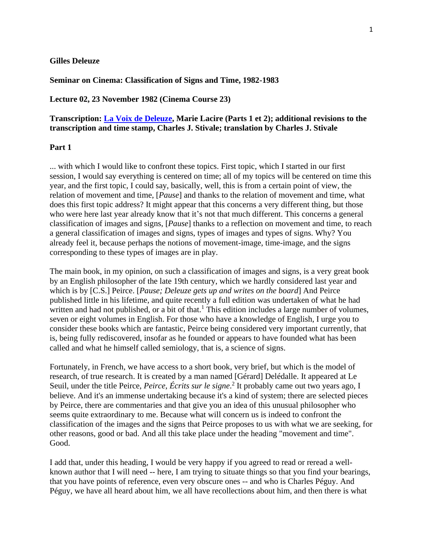## **Gilles Deleuze**

**Seminar on Cinema: Classification of Signs and Time, 1982-1983**

**Lecture 02, 23 November 1982 (Cinema Course 23)**

## **Transcription: [La Voix de Deleuze,](http://www2.univ-paris8.fr/deleuze/article.php3?id_article=124) Marie Lacire (Parts 1 et 2); additional revisions to the transcription and time stamp, Charles J. Stivale; translation by Charles J. Stivale**

## **Part 1**

... with which I would like to confront these topics. First topic, which I started in our first session, I would say everything is centered on time; all of my topics will be centered on time this year, and the first topic, I could say, basically, well, this is from a certain point of view, the relation of movement and time, [*Pause*] and thanks to the relation of movement and time, what does this first topic address? It might appear that this concerns a very different thing, but those who were here last year already know that it's not that much different. This concerns a general classification of images and signs, [*Pause*] thanks to a reflection on movement and time, to reach a general classification of images and signs, types of images and types of signs. Why? You already feel it, because perhaps the notions of movement-image, time-image, and the signs corresponding to these types of images are in play.

The main book, in my opinion, on such a classification of images and signs, is a very great book by an English philosopher of the late 19th century, which we hardly considered last year and which is by [C.S.] Peirce. [*Pause; Deleuze gets up and writes on the board*] And Peirce published little in his lifetime, and quite recently a full edition was undertaken of what he had written and had not published, or a bit of that.<sup>1</sup> This edition includes a large number of volumes, seven or eight volumes in English. For those who have a knowledge of English, I urge you to consider these books which are fantastic, Peirce being considered very important currently, that is, being fully rediscovered, insofar as he founded or appears to have founded what has been called and what he himself called semiology, that is, a science of signs.

Fortunately, in French, we have access to a short book, very brief, but which is the model of research, of true research. It is created by a man named [Gérard] Delédalle. It appeared at Le Seuil, under the title Peirce, *Peirce*, *Écrits sur le signe*. 2 It probably came out two years ago, I believe. And it's an immense undertaking because it's a kind of system; there are selected pieces by Peirce, there are commentaries and that give you an idea of this unusual philosopher who seems quite extraordinary to me. Because what will concern us is indeed to confront the classification of the images and the signs that Peirce proposes to us with what we are seeking, for other reasons, good or bad. And all this take place under the heading "movement and time". Good.

I add that, under this heading, I would be very happy if you agreed to read or reread a wellknown author that I will need -- here, I am trying to situate things so that you find your bearings, that you have points of reference, even very obscure ones -- and who is Charles Péguy. And Péguy, we have all heard about him, we all have recollections about him, and then there is what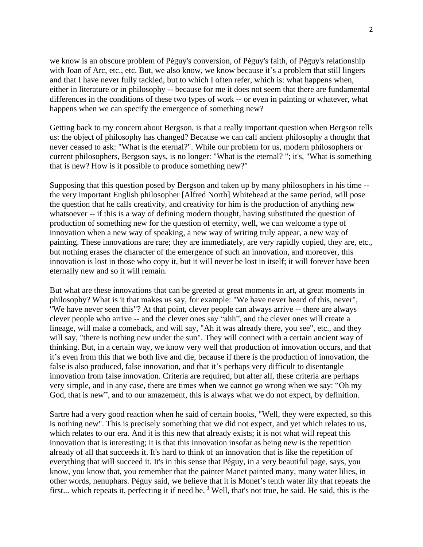we know is an obscure problem of Péguy's conversion, of Péguy's faith, of Péguy's relationship with Joan of Arc, etc., etc. But, we also know, we know because it's a problem that still lingers and that I have never fully tackled, but to which I often refer, which is: what happens when, either in literature or in philosophy -- because for me it does not seem that there are fundamental differences in the conditions of these two types of work -- or even in painting or whatever, what happens when we can specify the emergence of something new?

Getting back to my concern about Bergson, is that a really important question when Bergson tells us: the object of philosophy has changed? Because we can call ancient philosophy a thought that never ceased to ask: "What is the eternal?". While our problem for us, modern philosophers or current philosophers, Bergson says, is no longer: "What is the eternal? "; it's, "What is something that is new? How is it possible to produce something new?"

Supposing that this question posed by Bergson and taken up by many philosophers in his time - the very important English philosopher [Alfred North] Whitehead at the same period, will pose the question that he calls creativity, and creativity for him is the production of anything new whatsoever -- if this is a way of defining modern thought, having substituted the question of production of something new for the question of eternity, well, we can welcome a type of innovation when a new way of speaking, a new way of writing truly appear, a new way of painting. These innovations are rare; they are immediately, are very rapidly copied, they are, etc., but nothing erases the character of the emergence of such an innovation, and moreover, this innovation is lost in those who copy it, but it will never be lost in itself; it will forever have been eternally new and so it will remain.

But what are these innovations that can be greeted at great moments in art, at great moments in philosophy? What is it that makes us say, for example: "We have never heard of this, never", "We have never seen this"? At that point, clever people can always arrive -- there are always clever people who arrive -- and the clever ones say "ahh", and the clever ones will create a lineage, will make a comeback, and will say, "Ah it was already there, you see", etc., and they will say, "there is nothing new under the sun". They will connect with a certain ancient way of thinking. But, in a certain way, we know very well that production of innovation occurs, and that it's even from this that we both live and die, because if there is the production of innovation, the false is also produced, false innovation, and that it's perhaps very difficult to disentangle innovation from false innovation. Criteria are required, but after all, these criteria are perhaps very simple, and in any case, there are times when we cannot go wrong when we say: "Oh my God, that is new", and to our amazement, this is always what we do not expect, by definition.

Sartre had a very good reaction when he said of certain books, "Well, they were expected, so this is nothing new". This is precisely something that we did not expect, and yet which relates to us, which relates to our era. And it is this new that already exists; it is not what will repeat this innovation that is interesting; it is that this innovation insofar as being new is the repetition already of all that succeeds it. It's hard to think of an innovation that is like the repetition of everything that will succeed it. It's in this sense that Péguy, in a very beautiful page, says, you know, you know that, you remember that the painter Manet painted many, many water lilies, in other words, nenuphars. Péguy said, we believe that it is Monet's tenth water lily that repeats the first... which repeats it, perfecting it if need be.<sup>3</sup> Well, that's not true, he said. He said, this is the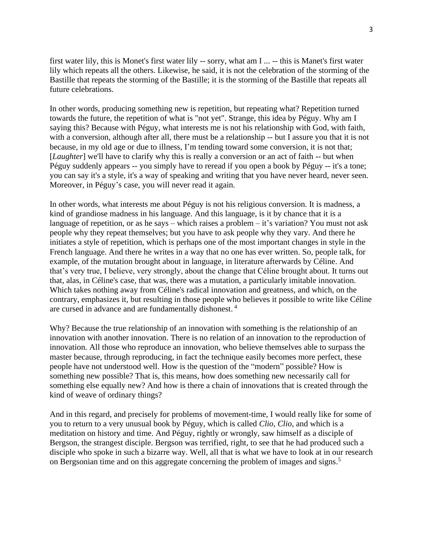first water lily, this is Monet's first water lily -- sorry, what am I ... -- this is Manet's first water lily which repeats all the others. Likewise, he said, it is not the celebration of the storming of the Bastille that repeats the storming of the Bastille; it is the storming of the Bastille that repeats all future celebrations.

In other words, producing something new is repetition, but repeating what? Repetition turned towards the future, the repetition of what is "not yet". Strange, this idea by Péguy. Why am I saying this? Because with Péguy, what interests me is not his relationship with God, with faith, with a conversion, although after all, there must be a relationship -- but I assure you that it is not because, in my old age or due to illness, I'm tending toward some conversion, it is not that; [*Laughter*] we'll have to clarify why this is really a conversion or an act of faith -- but when Péguy suddenly appears -- you simply have to reread if you open a book by Péguy -- it's a tone; you can say it's a style, it's a way of speaking and writing that you have never heard, never seen. Moreover, in Péguy's case, you will never read it again.

In other words, what interests me about Péguy is not his religious conversion. It is madness, a kind of grandiose madness in his language. And this language, is it by chance that it is a language of repetition, or as he says – which raises a problem – it's variation? You must not ask people why they repeat themselves; but you have to ask people why they vary. And there he initiates a style of repetition, which is perhaps one of the most important changes in style in the French language. And there he writes in a way that no one has ever written. So, people talk, for example, of the mutation brought about in language, in literature afterwards by Céline. And that's very true, I believe, very strongly, about the change that Céline brought about. It turns out that, alas, in Céline's case, that was, there was a mutation, a particularly imitable innovation. Which takes nothing away from Céline's radical innovation and greatness, and which, on the contrary, emphasizes it, but resulting in those people who believes it possible to write like Céline are cursed in advance and are fundamentally dishonest.<sup>4</sup>

Why? Because the true relationship of an innovation with something is the relationship of an innovation with another innovation. There is no relation of an innovation to the reproduction of innovation. All those who reproduce an innovation, who believe themselves able to surpass the master because, through reproducing, in fact the technique easily becomes more perfect, these people have not understood well. How is the question of the "modern" possible? How is something new possible? That is, this means, how does something new necessarily call for something else equally new? And how is there a chain of innovations that is created through the kind of weave of ordinary things?

And in this regard, and precisely for problems of movement-time, I would really like for some of you to return to a very unusual book by Péguy, which is called *Clio*, *Clio*, and which is a meditation on history and time. And Péguy, rightly or wrongly, saw himself as a disciple of Bergson, the strangest disciple. Bergson was terrified, right, to see that he had produced such a disciple who spoke in such a bizarre way. Well, all that is what we have to look at in our research on Bergsonian time and on this aggregate concerning the problem of images and signs.<sup>5</sup>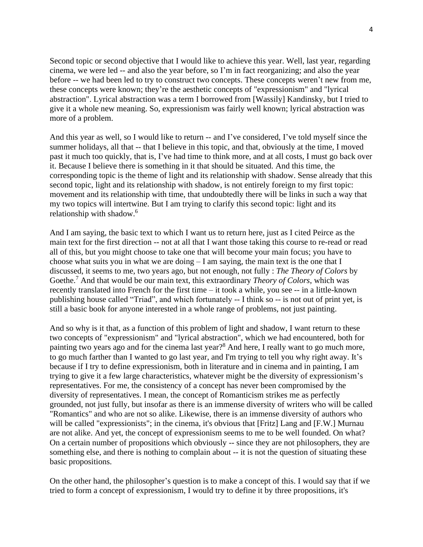Second topic or second objective that I would like to achieve this year. Well, last year, regarding cinema, we were led -- and also the year before, so I'm in fact reorganizing; and also the year before -- we had been led to try to construct two concepts. These concepts weren't new from me, these concepts were known; they're the aesthetic concepts of "expressionism" and "lyrical abstraction". Lyrical abstraction was a term I borrowed from [Wassily] Kandinsky, but I tried to give it a whole new meaning. So, expressionism was fairly well known; lyrical abstraction was more of a problem.

And this year as well, so I would like to return -- and I've considered, I've told myself since the summer holidays, all that -- that I believe in this topic, and that, obviously at the time, I moved past it much too quickly, that is, I've had time to think more, and at all costs, I must go back over it. Because I believe there is something in it that should be situated. And this time, the corresponding topic is the theme of light and its relationship with shadow. Sense already that this second topic, light and its relationship with shadow, is not entirely foreign to my first topic: movement and its relationship with time, that undoubtedly there will be links in such a way that my two topics will intertwine. But I am trying to clarify this second topic: light and its relationship with shadow.<sup>6</sup>

And I am saying, the basic text to which I want us to return here, just as I cited Peirce as the main text for the first direction -- not at all that I want those taking this course to re-read or read all of this, but you might choose to take one that will become your main focus; you have to choose what suits you in what we are doing  $-I$  am saying, the main text is the one that I discussed, it seems to me, two years ago, but not enough, not fully : *The Theory of Colors* by Goethe. <sup>7</sup> And that would be our main text, this extraordinary *Theory of Colors*, which was recently translated into French for the first time – it took a while, you see -- in a little-known publishing house called "Triad", and which fortunately -- I think so -- is not out of print yet, is still a basic book for anyone interested in a whole range of problems, not just painting.

And so why is it that, as a function of this problem of light and shadow, I want return to these two concepts of "expressionism" and "lyrical abstraction", which we had encountered, both for painting two years ago and for the cinema last year?<sup>8</sup> And here, I really want to go much more, to go much farther than I wanted to go last year, and I'm trying to tell you why right away. It's because if I try to define expressionism, both in literature and in cinema and in painting, I am trying to give it a few large characteristics, whatever might be the diversity of expressionism's representatives. For me, the consistency of a concept has never been compromised by the diversity of representatives. I mean, the concept of Romanticism strikes me as perfectly grounded, not just fully, but insofar as there is an immense diversity of writers who will be called "Romantics" and who are not so alike. Likewise, there is an immense diversity of authors who will be called "expressionists"; in the cinema, it's obvious that [Fritz] Lang and [F.W.] Murnau are not alike. And yet, the concept of expressionism seems to me to be well founded. On what? On a certain number of propositions which obviously -- since they are not philosophers, they are something else, and there is nothing to complain about -- it is not the question of situating these basic propositions.

On the other hand, the philosopher's question is to make a concept of this. I would say that if we tried to form a concept of expressionism, I would try to define it by three propositions, it's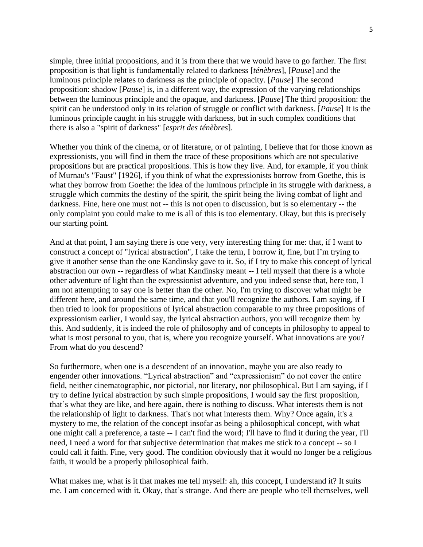simple, three initial propositions, and it is from there that we would have to go farther. The first proposition is that light is fundamentally related to darkness [*ténèbres*], [*Pause*] and the luminous principle relates to darkness as the principle of opacity. [*Pause*] The second proposition: shadow [*Pause*] is, in a different way, the expression of the varying relationships between the luminous principle and the opaque, and darkness. [*Pause*] The third proposition: the spirit can be understood only in its relation of struggle or conflict with darkness. [*Pause*] It is the luminous principle caught in his struggle with darkness, but in such complex conditions that there is also a "spirit of darkness" [*esprit des ténèbres*].

Whether you think of the cinema, or of literature, or of painting, I believe that for those known as expressionists, you will find in them the trace of these propositions which are not speculative propositions but are practical propositions. This is how they live. And, for example, if you think of Murnau's "Faust" [1926], if you think of what the expressionists borrow from Goethe, this is what they borrow from Goethe: the idea of the luminous principle in its struggle with darkness, a struggle which commits the destiny of the spirit, the spirit being the living combat of light and darkness. Fine, here one must not -- this is not open to discussion, but is so elementary -- the only complaint you could make to me is all of this is too elementary. Okay, but this is precisely our starting point.

And at that point, I am saying there is one very, very interesting thing for me: that, if I want to construct a concept of "lyrical abstraction", I take the term, I borrow it, fine, but I'm trying to give it another sense than the one Kandinsky gave to it. So, if I try to make this concept of lyrical abstraction our own -- regardless of what Kandinsky meant -- I tell myself that there is a whole other adventure of light than the expressionist adventure, and you indeed sense that, here too, I am not attempting to say one is better than the other. No, I'm trying to discover what might be different here, and around the same time, and that you'll recognize the authors. I am saying, if I then tried to look for propositions of lyrical abstraction comparable to my three propositions of expressionism earlier, I would say, the lyrical abstraction authors, you will recognize them by this. And suddenly, it is indeed the role of philosophy and of concepts in philosophy to appeal to what is most personal to you, that is, where you recognize yourself. What innovations are you? From what do you descend?

So furthermore, when one is a descendent of an innovation, maybe you are also ready to engender other innovations. "Lyrical abstraction" and "expressionism" do not cover the entire field, neither cinematographic, nor pictorial, nor literary, nor philosophical. But I am saying, if I try to define lyrical abstraction by such simple propositions, I would say the first proposition, that's what they are like, and here again, there is nothing to discuss. What interests them is not the relationship of light to darkness. That's not what interests them. Why? Once again, it's a mystery to me, the relation of the concept insofar as being a philosophical concept, with what one might call a preference, a taste -- I can't find the word; I'll have to find it during the year, I'll need, I need a word for that subjective determination that makes me stick to a concept -- so I could call it faith. Fine, very good. The condition obviously that it would no longer be a religious faith, it would be a properly philosophical faith.

What makes me, what is it that makes me tell myself: ah, this concept, I understand it? It suits me. I am concerned with it. Okay, that's strange. And there are people who tell themselves, well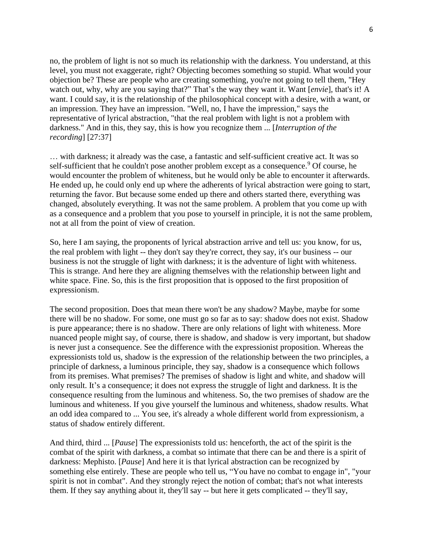no, the problem of light is not so much its relationship with the darkness. You understand, at this level, you must not exaggerate, right? Objecting becomes something so stupid. What would your objection be? These are people who are creating something, you're not going to tell them, "Hey watch out, why, why are you saying that?" That's the way they want it. Want [*envie*], that's it! A want. I could say, it is the relationship of the philosophical concept with a desire, with a want, or an impression. They have an impression. "Well, no, I have the impression," says the representative of lyrical abstraction, "that the real problem with light is not a problem with darkness." And in this, they say, this is how you recognize them ... [*Interruption of the recording*] [27:37]

… with darkness; it already was the case, a fantastic and self-sufficient creative act. It was so self-sufficient that he couldn't pose another problem except as a consequence.<sup>9</sup> Of course, he would encounter the problem of whiteness, but he would only be able to encounter it afterwards. He ended up, he could only end up where the adherents of lyrical abstraction were going to start, returning the favor. But because some ended up there and others started there, everything was changed, absolutely everything. It was not the same problem. A problem that you come up with as a consequence and a problem that you pose to yourself in principle, it is not the same problem, not at all from the point of view of creation.

So, here I am saying, the proponents of lyrical abstraction arrive and tell us: you know, for us, the real problem with light -- they don't say they're correct, they say, it's our business -- our business is not the struggle of light with darkness; it is the adventure of light with whiteness. This is strange. And here they are aligning themselves with the relationship between light and white space. Fine. So, this is the first proposition that is opposed to the first proposition of expressionism.

The second proposition. Does that mean there won't be any shadow? Maybe, maybe for some there will be no shadow. For some, one must go so far as to say: shadow does not exist. Shadow is pure appearance; there is no shadow. There are only relations of light with whiteness. More nuanced people might say, of course, there is shadow, and shadow is very important, but shadow is never just a consequence. See the difference with the expressionist proposition. Whereas the expressionists told us, shadow is the expression of the relationship between the two principles, a principle of darkness, a luminous principle, they say, shadow is a consequence which follows from its premises. What premises? The premises of shadow is light and white, and shadow will only result. It's a consequence; it does not express the struggle of light and darkness. It is the consequence resulting from the luminous and whiteness. So, the two premises of shadow are the luminous and whiteness. If you give yourself the luminous and whiteness, shadow results. What an odd idea compared to ... You see, it's already a whole different world from expressionism, a status of shadow entirely different.

And third, third ... [*Pause*] The expressionists told us: henceforth, the act of the spirit is the combat of the spirit with darkness, a combat so intimate that there can be and there is a spirit of darkness: Mephisto. [*Pause*] And here it is that lyrical abstraction can be recognized by something else entirely. These are people who tell us, "You have no combat to engage in", "your spirit is not in combat". And they strongly reject the notion of combat; that's not what interests them. If they say anything about it, they'll say -- but here it gets complicated -- they'll say,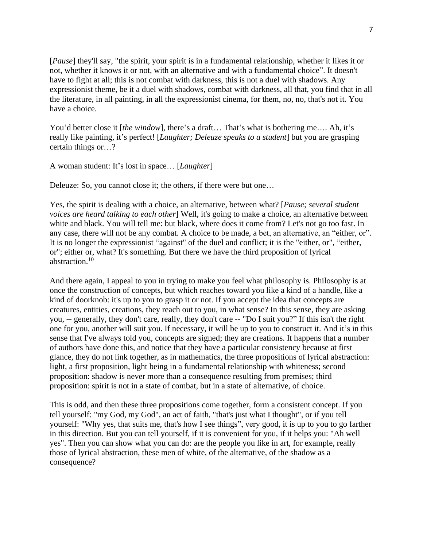[*Pause*] they'll say, "the spirit, your spirit is in a fundamental relationship, whether it likes it or not, whether it knows it or not, with an alternative and with a fundamental choice". It doesn't have to fight at all; this is not combat with darkness, this is not a duel with shadows. Any expressionist theme, be it a duel with shadows, combat with darkness, all that, you find that in all the literature, in all painting, in all the expressionist cinema, for them, no, no, that's not it. You have a choice.

You'd better close it [*the window*], there's a draft... That's what is bothering me.... Ah, it's really like painting, it's perfect! [*Laughter; Deleuze speaks to a student*] but you are grasping certain things or…?

A woman student: It's lost in space… [*Laughter*]

Deleuze: So, you cannot close it; the others, if there were but one…

Yes, the spirit is dealing with a choice, an alternative, between what? [*Pause; several student voices are heard talking to each other*] Well, it's going to make a choice, an alternative between white and black. You will tell me: but black, where does it come from? Let's not go too fast. In any case, there will not be any combat. A choice to be made, a bet, an alternative, an "either, or". It is no longer the expressionist "against" of the duel and conflict; it is the "either, or", "either, or"; either or, what? It's something. But there we have the third proposition of lyrical abstraction. 10

And there again, I appeal to you in trying to make you feel what philosophy is. Philosophy is at once the construction of concepts, but which reaches toward you like a kind of a handle, like a kind of doorknob: it's up to you to grasp it or not. If you accept the idea that concepts are creatures, entities, creations, they reach out to you, in what sense? In this sense, they are asking you, -- generally, they don't care, really, they don't care -- "Do I suit you?" If this isn't the right one for you, another will suit you. If necessary, it will be up to you to construct it. And it's in this sense that I've always told you, concepts are signed; they are creations. It happens that a number of authors have done this, and notice that they have a particular consistency because at first glance, they do not link together, as in mathematics, the three propositions of lyrical abstraction: light, a first proposition, light being in a fundamental relationship with whiteness; second proposition: shadow is never more than a consequence resulting from premises; third proposition: spirit is not in a state of combat, but in a state of alternative, of choice.

This is odd, and then these three propositions come together, form a consistent concept. If you tell yourself: "my God, my God", an act of faith, "that's just what I thought", or if you tell yourself: "Why yes, that suits me, that's how I see things", very good, it is up to you to go farther in this direction. But you can tell yourself, if it is convenient for you, if it helps you: "Ah well yes". Then you can show what you can do: are the people you like in art, for example, really those of lyrical abstraction, these men of white, of the alternative, of the shadow as a consequence?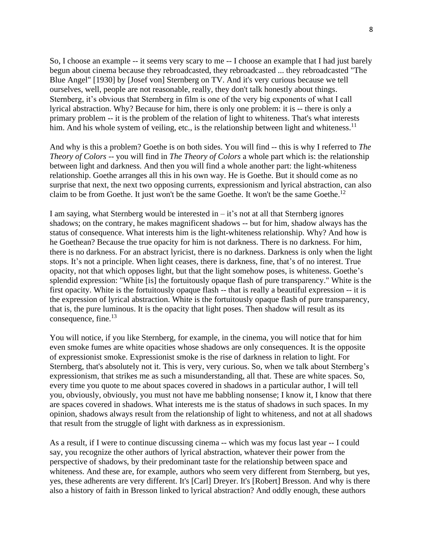So, I choose an example -- it seems very scary to me -- I choose an example that I had just barely begun about cinema because they rebroadcasted, they rebroadcasted ... they rebroadcasted "The Blue Angel" [1930] by [Josef von] Sternberg on TV. And it's very curious because we tell ourselves, well, people are not reasonable, really, they don't talk honestly about things. Sternberg, it's obvious that Sternberg in film is one of the very big exponents of what I call lyrical abstraction. Why? Because for him, there is only one problem: it is -- there is only a primary problem -- it is the problem of the relation of light to whiteness. That's what interests him. And his whole system of veiling, etc., is the relationship between light and whiteness.<sup>11</sup>

And why is this a problem? Goethe is on both sides. You will find -- this is why I referred to *The Theory of Colors* -- you will find in *The Theory of Colors* a whole part which is: the relationship between light and darkness. And then you will find a whole another part: the light-whiteness relationship. Goethe arranges all this in his own way. He is Goethe. But it should come as no surprise that next, the next two opposing currents, expressionism and lyrical abstraction, can also claim to be from Goethe. It just won't be the same Goethe. It won't be the same Goethe. 12

I am saying, what Sternberg would be interested in  $-i$  t's not at all that Sternberg ignores shadows; on the contrary, he makes magnificent shadows -- but for him, shadow always has the status of consequence. What interests him is the light-whiteness relationship. Why? And how is he Goethean? Because the true opacity for him is not darkness. There is no darkness. For him, there is no darkness. For an abstract lyricist, there is no darkness. Darkness is only when the light stops. It's not a principle. When light ceases, there is darkness, fine, that's of no interest. True opacity, not that which opposes light, but that the light somehow poses, is whiteness. Goethe's splendid expression: "White [is] the fortuitously opaque flash of pure transparency." White is the first opacity. White is the fortuitously opaque flash -- that is really a beautiful expression -- it is the expression of lyrical abstraction. White is the fortuitously opaque flash of pure transparency, that is, the pure luminous. It is the opacity that light poses. Then shadow will result as its consequence, fine. 13

You will notice, if you like Sternberg, for example, in the cinema, you will notice that for him even smoke fumes are white opacities whose shadows are only consequences. It is the opposite of expressionist smoke. Expressionist smoke is the rise of darkness in relation to light. For Sternberg, that's absolutely not it. This is very, very curious. So, when we talk about Sternberg's expressionism, that strikes me as such a misunderstanding, all that. These are white spaces. So, every time you quote to me about spaces covered in shadows in a particular author, I will tell you, obviously, obviously, you must not have me babbling nonsense; I know it, I know that there are spaces covered in shadows. What interests me is the status of shadows in such spaces. In my opinion, shadows always result from the relationship of light to whiteness, and not at all shadows that result from the struggle of light with darkness as in expressionism.

As a result, if I were to continue discussing cinema -- which was my focus last year -- I could say, you recognize the other authors of lyrical abstraction, whatever their power from the perspective of shadows, by their predominant taste for the relationship between space and whiteness. And these are, for example, authors who seem very different from Sternberg, but yes, yes, these adherents are very different. It's [Carl] Dreyer. It's [Robert] Bresson. And why is there also a history of faith in Bresson linked to lyrical abstraction? And oddly enough, these authors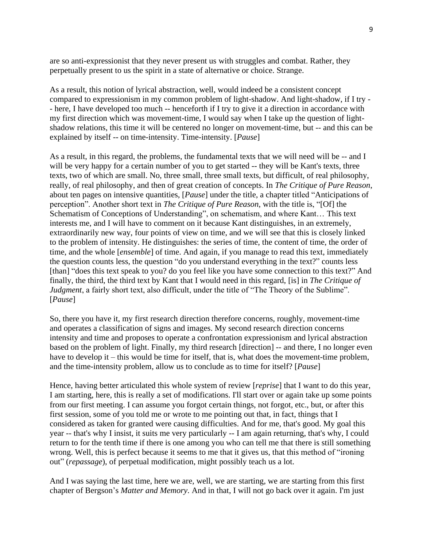are so anti-expressionist that they never present us with struggles and combat. Rather, they perpetually present to us the spirit in a state of alternative or choice. Strange.

As a result, this notion of lyrical abstraction, well, would indeed be a consistent concept compared to expressionism in my common problem of light-shadow. And light-shadow, if I try - - here, I have developed too much -- henceforth if I try to give it a direction in accordance with my first direction which was movement-time, I would say when I take up the question of lightshadow relations, this time it will be centered no longer on movement-time, but -- and this can be explained by itself -- on time-intensity. Time-intensity. [*Pause*]

As a result, in this regard, the problems, the fundamental texts that we will need will be -- and I will be very happy for a certain number of you to get started -- they will be Kant's texts, three texts, two of which are small. No, three small, three small texts, but difficult, of real philosophy, really, of real philosophy, and then of great creation of concepts. In *The Critique of Pure Reason*, about ten pages on intensive quantities, [*Pause*] under the title, a chapter titled "Anticipations of perception". Another short text in *The Critique of Pure Reason*, with the title is, "[Of] the Schematism of Conceptions of Understanding", on schematism, and where Kant… This text interests me, and I will have to comment on it because Kant distinguishes, in an extremely, extraordinarily new way, four points of view on time, and we will see that this is closely linked to the problem of intensity. He distinguishes: the series of time, the content of time, the order of time, and the whole [*ensemble*] of time. And again, if you manage to read this text, immediately the question counts less, the question "do you understand everything in the text?" counts less [than] "does this text speak to you? do you feel like you have some connection to this text?" And finally, the third, the third text by Kant that I would need in this regard, [is] in *The Critique of Judgment*, a fairly short text, also difficult, under the title of "The Theory of the Sublime". [*Pause*]

So, there you have it, my first research direction therefore concerns, roughly, movement-time and operates a classification of signs and images. My second research direction concerns intensity and time and proposes to operate a confrontation expressionism and lyrical abstraction based on the problem of light. Finally, my third research [direction] -- and there, I no longer even have to develop it – this would be time for itself, that is, what does the movement-time problem, and the time-intensity problem, allow us to conclude as to time for itself? [*Pause*]

Hence, having better articulated this whole system of review [*reprise*] that I want to do this year, I am starting, here, this is really a set of modifications. I'll start over or again take up some points from our first meeting. I can assume you forgot certain things, not forgot, etc., but, or after this first session, some of you told me or wrote to me pointing out that, in fact, things that I considered as taken for granted were causing difficulties. And for me, that's good. My goal this year -- that's why I insist, it suits me very particularly -- I am again returning, that's why, I could return to for the tenth time if there is one among you who can tell me that there is still something wrong. Well, this is perfect because it seems to me that it gives us, that this method of "ironing out" (*repassage*), of perpetual modification, might possibly teach us a lot.

And I was saying the last time, here we are, well, we are starting, we are starting from this first chapter of Bergson's *Matter and Memory*. And in that, I will not go back over it again. I'm just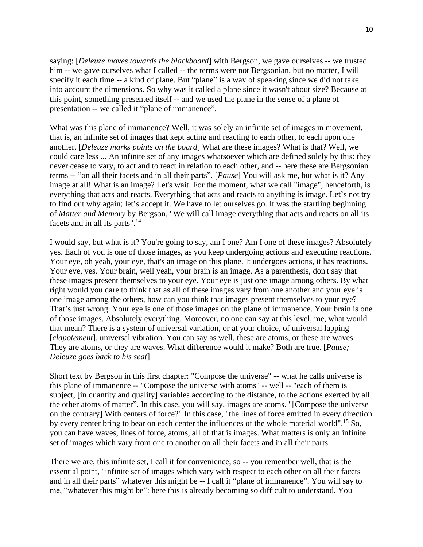saying: [*Deleuze moves towards the blackboard*] with Bergson, we gave ourselves -- we trusted him -- we gave ourselves what I called -- the terms were not Bergsonian, but no matter, I will specify it each time -- a kind of plane. But "plane" is a way of speaking since we did not take into account the dimensions. So why was it called a plane since it wasn't about size? Because at this point, something presented itself -- and we used the plane in the sense of a plane of presentation -- we called it "plane of immanence".

What was this plane of immanence? Well, it was solely an infinite set of images in movement, that is, an infinite set of images that kept acting and reacting to each other, to each upon one another. [*Deleuze marks points on the board*] What are these images? What is that? Well, we could care less ... An infinite set of any images whatsoever which are defined solely by this: they never cease to vary, to act and to react in relation to each other, and -- here these are Bergsonian terms -- "on all their facets and in all their parts". [*Pause*] You will ask me, but what is it? Any image at all! What is an image? Let's wait. For the moment, what we call "image", henceforth, is everything that acts and reacts. Everything that acts and reacts to anything is image. Let's not try to find out why again; let's accept it. We have to let ourselves go. It was the startling beginning of *Matter and Memory* by Bergson. "We will call image everything that acts and reacts on all its facets and in all its parts".<sup>14</sup>

I would say, but what is it? You're going to say, am I one? Am I one of these images? Absolutely yes. Each of you is one of those images, as you keep undergoing actions and executing reactions. Your eye, oh yeah, your eye, that's an image on this plane. It undergoes actions, it has reactions. Your eye, yes. Your brain, well yeah, your brain is an image. As a parenthesis, don't say that these images present themselves to your eye. Your eye is just one image among others. By what right would you dare to think that as all of these images vary from one another and your eye is one image among the others, how can you think that images present themselves to your eye? That's just wrong. Your eye is one of those images on the plane of immanence. Your brain is one of those images. Absolutely everything. Moreover, no one can say at this level, me, what would that mean? There is a system of universal variation, or at your choice, of universal lapping [*clapotement*], universal vibration. You can say as well, these are atoms, or these are waves. They are atoms, or they are waves. What difference would it make? Both are true. [*Pause; Deleuze goes back to his seat*]

Short text by Bergson in this first chapter: "Compose the universe" -- what he calls universe is this plane of immanence -- "Compose the universe with atoms" -- well -- "each of them is subject, [in quantity and quality] variables according to the distance, to the actions exerted by all the other atoms of matter". In this case, you will say, images are atoms. "[Compose the universe on the contrary] With centers of force?" In this case, "the lines of force emitted in every direction by every center bring to bear on each center the influences of the whole material world".<sup>15</sup> So, you can have waves, lines of force, atoms, all of that is images. What matters is only an infinite set of images which vary from one to another on all their facets and in all their parts.

There we are, this infinite set, I call it for convenience, so -- you remember well, that is the essential point, "infinite set of images which vary with respect to each other on all their facets and in all their parts" whatever this might be -- I call it "plane of immanence". You will say to me, "whatever this might be": here this is already becoming so difficult to understand. You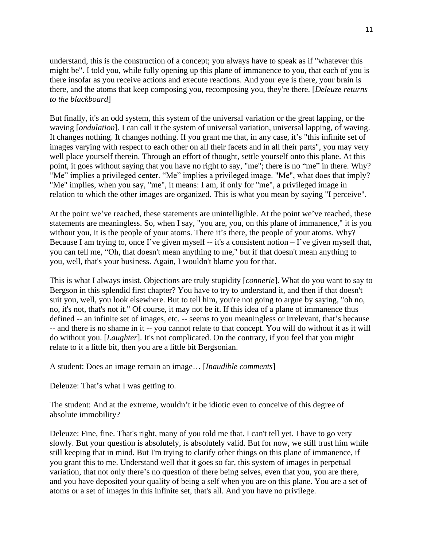understand, this is the construction of a concept; you always have to speak as if "whatever this might be". I told you, while fully opening up this plane of immanence to you, that each of you is there insofar as you receive actions and execute reactions. And your eye is there, your brain is there, and the atoms that keep composing you, recomposing you, they're there. [*Deleuze returns to the blackboard*]

But finally, it's an odd system, this system of the universal variation or the great lapping, or the waving [*ondulation*]. I can call it the system of universal variation, universal lapping, of waving. It changes nothing. It changes nothing. If you grant me that, in any case, it's "this infinite set of images varying with respect to each other on all their facets and in all their parts", you may very well place yourself therein. Through an effort of thought, settle yourself onto this plane. At this point, it goes without saying that you have no right to say, "me"; there is no "me" in there. Why? "Me" implies a privileged center. "Me" implies a privileged image. "Me", what does that imply? "Me" implies, when you say, "me", it means: I am, if only for "me", a privileged image in relation to which the other images are organized. This is what you mean by saying "I perceive".

At the point we've reached, these statements are unintelligible. At the point we've reached, these statements are meaningless. So, when I say, "you are, you, on this plane of immanence," it is you without you, it is the people of your atoms. There it's there, the people of your atoms. Why? Because I am trying to, once I've given myself  $-$  it's a consistent notion  $-$  I've given myself that, you can tell me, "Oh, that doesn't mean anything to me," but if that doesn't mean anything to you, well, that's your business. Again, I wouldn't blame you for that.

This is what I always insist. Objections are truly stupidity [*connerie*]. What do you want to say to Bergson in this splendid first chapter? You have to try to understand it, and then if that doesn't suit you, well, you look elsewhere. But to tell him, you're not going to argue by saying, "oh no, no, it's not, that's not it." Of course, it may not be it. If this idea of a plane of immanence thus defined -- an infinite set of images, etc. -- seems to you meaningless or irrelevant, that's because -- and there is no shame in it -- you cannot relate to that concept. You will do without it as it will do without you. [*Laughter*]. It's not complicated. On the contrary, if you feel that you might relate to it a little bit, then you are a little bit Bergsonian.

A student: Does an image remain an image… [*Inaudible comments*]

Deleuze: That's what I was getting to.

The student: And at the extreme, wouldn't it be idiotic even to conceive of this degree of absolute immobility?

Deleuze: Fine, fine. That's right, many of you told me that. I can't tell yet. I have to go very slowly. But your question is absolutely, is absolutely valid. But for now, we still trust him while still keeping that in mind. But I'm trying to clarify other things on this plane of immanence, if you grant this to me. Understand well that it goes so far, this system of images in perpetual variation, that not only there's no question of there being selves, even that you, you are there, and you have deposited your quality of being a self when you are on this plane. You are a set of atoms or a set of images in this infinite set, that's all. And you have no privilege.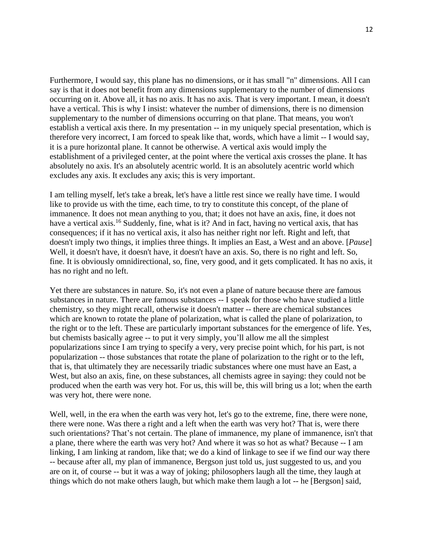Furthermore, I would say, this plane has no dimensions, or it has small "n" dimensions. All I can say is that it does not benefit from any dimensions supplementary to the number of dimensions occurring on it. Above all, it has no axis. It has no axis. That is very important. I mean, it doesn't have a vertical. This is why I insist: whatever the number of dimensions, there is no dimension supplementary to the number of dimensions occurring on that plane. That means, you won't establish a vertical axis there. In my presentation -- in my uniquely special presentation, which is therefore very incorrect, I am forced to speak like that, words, which have a limit -- I would say, it is a pure horizontal plane. It cannot be otherwise. A vertical axis would imply the establishment of a privileged center, at the point where the vertical axis crosses the plane. It has absolutely no axis. It's an absolutely acentric world. It is an absolutely acentric world which excludes any axis. It excludes any axis; this is very important.

I am telling myself, let's take a break, let's have a little rest since we really have time. I would like to provide us with the time, each time, to try to constitute this concept, of the plane of immanence. It does not mean anything to you, that; it does not have an axis, fine, it does not have a vertical axis.<sup>16</sup> Suddenly, fine, what is it? And in fact, having no vertical axis, that has consequences; if it has no vertical axis, it also has neither right nor left. Right and left, that doesn't imply two things, it implies three things. It implies an East, a West and an above. [*Pause*] Well, it doesn't have, it doesn't have, it doesn't have an axis. So, there is no right and left. So, fine. It is obviously omnidirectional, so, fine, very good, and it gets complicated. It has no axis, it has no right and no left.

Yet there are substances in nature. So, it's not even a plane of nature because there are famous substances in nature. There are famous substances -- I speak for those who have studied a little chemistry, so they might recall, otherwise it doesn't matter -- there are chemical substances which are known to rotate the plane of polarization, what is called the plane of polarization, to the right or to the left. These are particularly important substances for the emergence of life. Yes, but chemists basically agree -- to put it very simply, you'll allow me all the simplest popularizations since I am trying to specify a very, very precise point which, for his part, is not popularization -- those substances that rotate the plane of polarization to the right or to the left, that is, that ultimately they are necessarily triadic substances where one must have an East, a West, but also an axis, fine, on these substances, all chemists agree in saying: they could not be produced when the earth was very hot. For us, this will be, this will bring us a lot; when the earth was very hot, there were none.

Well, well, in the era when the earth was very hot, let's go to the extreme, fine, there were none, there were none. Was there a right and a left when the earth was very hot? That is, were there such orientations? That's not certain. The plane of immanence, my plane of immanence, isn't that a plane, there where the earth was very hot? And where it was so hot as what? Because -- I am linking, I am linking at random, like that; we do a kind of linkage to see if we find our way there -- because after all, my plan of immanence, Bergson just told us, just suggested to us, and you are on it, of course -- but it was a way of joking; philosophers laugh all the time, they laugh at things which do not make others laugh, but which make them laugh a lot -- he [Bergson] said,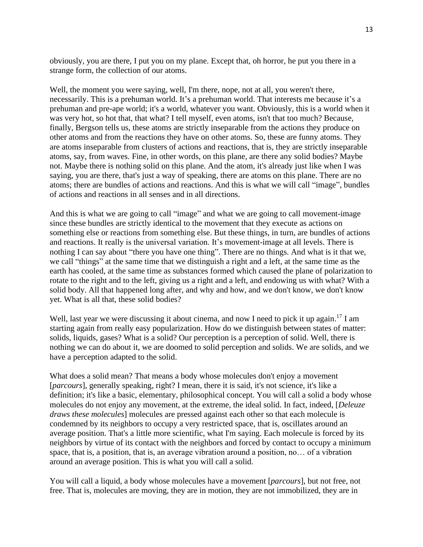obviously, you are there, I put you on my plane. Except that, oh horror, he put you there in a strange form, the collection of our atoms.

Well, the moment you were saying, well, I'm there, nope, not at all, you weren't there, necessarily. This is a prehuman world. It's a prehuman world. That interests me because it's a prehuman and pre-ape world; it's a world, whatever you want. Obviously, this is a world when it was very hot, so hot that, that what? I tell myself, even atoms, isn't that too much? Because, finally, Bergson tells us, these atoms are strictly inseparable from the actions they produce on other atoms and from the reactions they have on other atoms. So, these are funny atoms. They are atoms inseparable from clusters of actions and reactions, that is, they are strictly inseparable atoms, say, from waves. Fine, in other words, on this plane, are there any solid bodies? Maybe not. Maybe there is nothing solid on this plane. And the atom, it's already just like when I was saying, you are there, that's just a way of speaking, there are atoms on this plane. There are no atoms; there are bundles of actions and reactions. And this is what we will call "image", bundles of actions and reactions in all senses and in all directions.

And this is what we are going to call "image" and what we are going to call movement-image since these bundles are strictly identical to the movement that they execute as actions on something else or reactions from something else. But these things, in turn, are bundles of actions and reactions. It really is the universal variation. It's movement-image at all levels. There is nothing I can say about "there you have one thing". There are no things. And what is it that we, we call "things" at the same time that we distinguish a right and a left, at the same time as the earth has cooled, at the same time as substances formed which caused the plane of polarization to rotate to the right and to the left, giving us a right and a left, and endowing us with what? With a solid body. All that happened long after, and why and how, and we don't know, we don't know yet. What is all that, these solid bodies?

Well, last year we were discussing it about cinema, and now I need to pick it up again.<sup>17</sup> I am starting again from really easy popularization. How do we distinguish between states of matter: solids, liquids, gases? What is a solid? Our perception is a perception of solid. Well, there is nothing we can do about it, we are doomed to solid perception and solids. We are solids, and we have a perception adapted to the solid.

What does a solid mean? That means a body whose molecules don't enjoy a movement [*parcours*], generally speaking, right? I mean, there it is said, it's not science, it's like a definition; it's like a basic, elementary, philosophical concept. You will call a solid a body whose molecules do not enjoy any movement, at the extreme, the ideal solid. In fact, indeed, [*Deleuze draws these molecules*] molecules are pressed against each other so that each molecule is condemned by its neighbors to occupy a very restricted space, that is, oscillates around an average position. That's a little more scientific, what I'm saying. Each molecule is forced by its neighbors by virtue of its contact with the neighbors and forced by contact to occupy a minimum space, that is, a position, that is, an average vibration around a position, no… of a vibration around an average position. This is what you will call a solid.

You will call a liquid, a body whose molecules have a movement [*parcours*], but not free, not free. That is, molecules are moving, they are in motion, they are not immobilized, they are in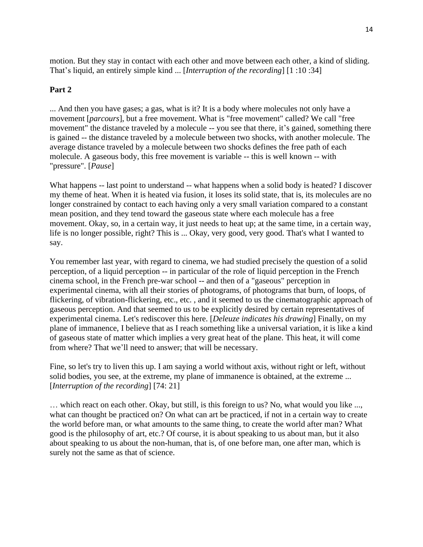motion. But they stay in contact with each other and move between each other, a kind of sliding. That's liquid, an entirely simple kind ... [*Interruption of the recording*] [1 :10 :34]

## **Part 2**

... And then you have gases; a gas, what is it? It is a body where molecules not only have a movement [*parcours*], but a free movement. What is "free movement" called? We call "free movement" the distance traveled by a molecule -- you see that there, it's gained, something there is gained -- the distance traveled by a molecule between two shocks, with another molecule. The average distance traveled by a molecule between two shocks defines the free path of each molecule. A gaseous body, this free movement is variable -- this is well known -- with "pressure". [*Pause*]

What happens -- last point to understand -- what happens when a solid body is heated? I discover my theme of heat. When it is heated via fusion, it loses its solid state, that is, its molecules are no longer constrained by contact to each having only a very small variation compared to a constant mean position, and they tend toward the gaseous state where each molecule has a free movement. Okay, so, in a certain way, it just needs to heat up; at the same time, in a certain way, life is no longer possible, right? This is ... Okay, very good, very good. That's what I wanted to say.

You remember last year, with regard to cinema, we had studied precisely the question of a solid perception, of a liquid perception -- in particular of the role of liquid perception in the French cinema school, in the French pre-war school -- and then of a "gaseous" perception in experimental cinema, with all their stories of photograms, of photograms that burn, of loops, of flickering, of vibration-flickering, etc., etc. , and it seemed to us the cinematographic approach of gaseous perception. And that seemed to us to be explicitly desired by certain representatives of experimental cinema. Let's rediscover this here. [*Deleuze indicates his drawing*] Finally, on my plane of immanence, I believe that as I reach something like a universal variation, it is like a kind of gaseous state of matter which implies a very great heat of the plane. This heat, it will come from where? That we'll need to answer; that will be necessary.

Fine, so let's try to liven this up. I am saying a world without axis, without right or left, without solid bodies, you see, at the extreme, my plane of immanence is obtained, at the extreme ... [*Interruption of the recording*] [74: 21]

… which react on each other. Okay, but still, is this foreign to us? No, what would you like ..., what can thought be practiced on? On what can art be practiced, if not in a certain way to create the world before man, or what amounts to the same thing, to create the world after man? What good is the philosophy of art, etc.? Of course, it is about speaking to us about man, but it also about speaking to us about the non-human, that is, of one before man, one after man, which is surely not the same as that of science.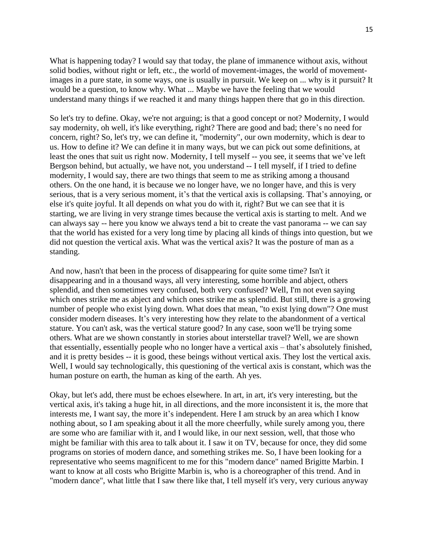What is happening today? I would say that today, the plane of immanence without axis, without solid bodies, without right or left, etc., the world of movement-images, the world of movementimages in a pure state, in some ways, one is usually in pursuit. We keep on ... why is it pursuit? It would be a question, to know why. What ... Maybe we have the feeling that we would understand many things if we reached it and many things happen there that go in this direction.

So let's try to define. Okay, we're not arguing; is that a good concept or not? Modernity, I would say modernity, oh well, it's like everything, right? There are good and bad; there's no need for concern, right? So, let's try, we can define it, "modernity", our own modernity, which is dear to us. How to define it? We can define it in many ways, but we can pick out some definitions, at least the ones that suit us right now. Modernity, I tell myself -- you see, it seems that we've left Bergson behind, but actually, we have not, you understand -- I tell myself, if I tried to define modernity, I would say, there are two things that seem to me as striking among a thousand others. On the one hand, it is because we no longer have, we no longer have, and this is very serious, that is a very serious moment, it's that the vertical axis is collapsing. That's annoying, or else it's quite joyful. It all depends on what you do with it, right? But we can see that it is starting, we are living in very strange times because the vertical axis is starting to melt. And we can always say -- here you know we always tend a bit to create the vast panorama -- we can say that the world has existed for a very long time by placing all kinds of things into question, but we did not question the vertical axis. What was the vertical axis? It was the posture of man as a standing.

And now, hasn't that been in the process of disappearing for quite some time? Isn't it disappearing and in a thousand ways, all very interesting, some horrible and abject, others splendid, and then sometimes very confused, both very confused? Well, I'm not even saying which ones strike me as abject and which ones strike me as splendid. But still, there is a growing number of people who exist lying down. What does that mean, "to exist lying down"? One must consider modern diseases. It's very interesting how they relate to the abandonment of a vertical stature. You can't ask, was the vertical stature good? In any case, soon we'll be trying some others. What are we shown constantly in stories about interstellar travel? Well, we are shown that essentially, essentially people who no longer have a vertical axis – that's absolutely finished, and it is pretty besides -- it is good, these beings without vertical axis. They lost the vertical axis. Well, I would say technologically, this questioning of the vertical axis is constant, which was the human posture on earth, the human as king of the earth. Ah yes.

Okay, but let's add, there must be echoes elsewhere. In art, in art, it's very interesting, but the vertical axis, it's taking a huge hit, in all directions, and the more inconsistent it is, the more that interests me, I want say, the more it's independent. Here I am struck by an area which I know nothing about, so I am speaking about it all the more cheerfully, while surely among you, there are some who are familiar with it, and I would like, in our next session, well, that those who might be familiar with this area to talk about it. I saw it on TV, because for once, they did some programs on stories of modern dance, and something strikes me. So, I have been looking for a representative who seems magnificent to me for this "modern dance" named Brigitte Marbin. I want to know at all costs who Brigitte Marbin is, who is a choreographer of this trend. And in "modern dance", what little that I saw there like that, I tell myself it's very, very curious anyway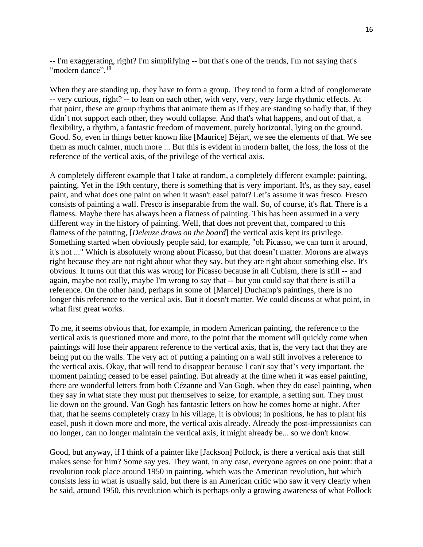-- I'm exaggerating, right? I'm simplifying -- but that's one of the trends, I'm not saying that's "modern dance".<sup>18</sup>

When they are standing up, they have to form a group. They tend to form a kind of conglomerate -- very curious, right? -- to lean on each other, with very, very, very large rhythmic effects. At that point, these are group rhythms that animate them as if they are standing so badly that, if they didn't not support each other, they would collapse. And that's what happens, and out of that, a flexibility, a rhythm, a fantastic freedom of movement, purely horizontal, lying on the ground. Good. So, even in things better known like [Maurice] Béjart, we see the elements of that. We see them as much calmer, much more ... But this is evident in modern ballet, the loss, the loss of the reference of the vertical axis, of the privilege of the vertical axis.

A completely different example that I take at random, a completely different example: painting, painting. Yet in the 19th century, there is something that is very important. It's, as they say, easel paint, and what does one paint on when it wasn't easel paint? Let's assume it was fresco. Fresco consists of painting a wall. Fresco is inseparable from the wall. So, of course, it's flat. There is a flatness. Maybe there has always been a flatness of painting. This has been assumed in a very different way in the history of painting. Well, that does not prevent that, compared to this flatness of the painting, [*Deleuze draws on the board*] the vertical axis kept its privilege. Something started when obviously people said, for example, "oh Picasso, we can turn it around, it's not ..." Which is absolutely wrong about Picasso, but that doesn't matter. Morons are always right because they are not right about what they say, but they are right about something else. It's obvious. It turns out that this was wrong for Picasso because in all Cubism, there is still -- and again, maybe not really, maybe I'm wrong to say that -- but you could say that there is still a reference. On the other hand, perhaps in some of [Marcel] Duchamp's paintings, there is no longer this reference to the vertical axis. But it doesn't matter. We could discuss at what point, in what first great works.

To me, it seems obvious that, for example, in modern American painting, the reference to the vertical axis is questioned more and more, to the point that the moment will quickly come when paintings will lose their apparent reference to the vertical axis, that is, the very fact that they are being put on the walls. The very act of putting a painting on a wall still involves a reference to the vertical axis. Okay, that will tend to disappear because I can't say that's very important, the moment painting ceased to be easel painting. But already at the time when it was easel painting, there are wonderful letters from both Cézanne and Van Gogh, when they do easel painting, when they say in what state they must put themselves to seize, for example, a setting sun. They must lie down on the ground. Van Gogh has fantastic letters on how he comes home at night. After that, that he seems completely crazy in his village, it is obvious; in positions, he has to plant his easel, push it down more and more, the vertical axis already. Already the post-impressionists can no longer, can no longer maintain the vertical axis, it might already be... so we don't know.

Good, but anyway, if I think of a painter like [Jackson] Pollock, is there a vertical axis that still makes sense for him? Some say yes. They want, in any case, everyone agrees on one point: that a revolution took place around 1950 in painting, which was the American revolution, but which consists less in what is usually said, but there is an American critic who saw it very clearly when he said, around 1950, this revolution which is perhaps only a growing awareness of what Pollock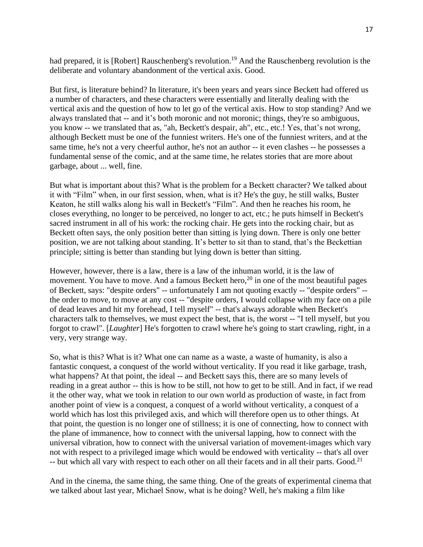had prepared, it is [Robert] Rauschenberg's revolution.<sup>19</sup> And the Rauschenberg revolution is the deliberate and voluntary abandonment of the vertical axis. Good.

But first, is literature behind? In literature, it's been years and years since Beckett had offered us a number of characters, and these characters were essentially and literally dealing with the vertical axis and the question of how to let go of the vertical axis. How to stop standing? And we always translated that -- and it's both moronic and not moronic; things, they're so ambiguous, you know -- we translated that as, "ah, Beckett's despair, ah", etc., etc.! Yes, that's not wrong, although Beckett must be one of the funniest writers. He's one of the funniest writers, and at the same time, he's not a very cheerful author, he's not an author -- it even clashes -- he possesses a fundamental sense of the comic, and at the same time, he relates stories that are more about garbage, about ... well, fine.

But what is important about this? What is the problem for a Beckett character? We talked about it with "Film" when, in our first session, when, what is it? He's the guy, he still walks, Buster Keaton, he still walks along his wall in Beckett's "Film". And then he reaches his room, he closes everything, no longer to be perceived, no longer to act, etc.; he puts himself in Beckett's sacred instrument in all of his work: the rocking chair. He gets into the rocking chair, but as Beckett often says, the only position better than sitting is lying down. There is only one better position, we are not talking about standing. It's better to sit than to stand, that's the Beckettian principle; sitting is better than standing but lying down is better than sitting.

However, however, there is a law, there is a law of the inhuman world, it is the law of movement. You have to move. And a famous Beckett hero,  $20$  in one of the most beautiful pages of Beckett, says: "despite orders" -- unfortunately I am not quoting exactly -- "despite orders" - the order to move, to move at any cost -- "despite orders, I would collapse with my face on a pile of dead leaves and hit my forehead, I tell myself" -- that's always adorable when Beckett's characters talk to themselves, we must expect the best, that is, the worst -- "I tell myself, but you forgot to crawl". [*Laughter*] He's forgotten to crawl where he's going to start crawling, right, in a very, very strange way.

So, what is this? What is it? What one can name as a waste, a waste of humanity, is also a fantastic conquest, a conquest of the world without verticality. If you read it like garbage, trash, what happens? At that point, the ideal -- and Beckett says this, there are so many levels of reading in a great author -- this is how to be still, not how to get to be still. And in fact, if we read it the other way, what we took in relation to our own world as production of waste, in fact from another point of view is a conquest, a conquest of a world without verticality, a conquest of a world which has lost this privileged axis, and which will therefore open us to other things. At that point, the question is no longer one of stillness; it is one of connecting, how to connect with the plane of immanence, how to connect with the universal lapping, how to connect with the universal vibration, how to connect with the universal variation of movement-images which vary not with respect to a privileged image which would be endowed with verticality -- that's all over  $-$  but which all vary with respect to each other on all their facets and in all their parts. Good.<sup>21</sup>

And in the cinema, the same thing, the same thing. One of the greats of experimental cinema that we talked about last year, Michael Snow, what is he doing? Well, he's making a film like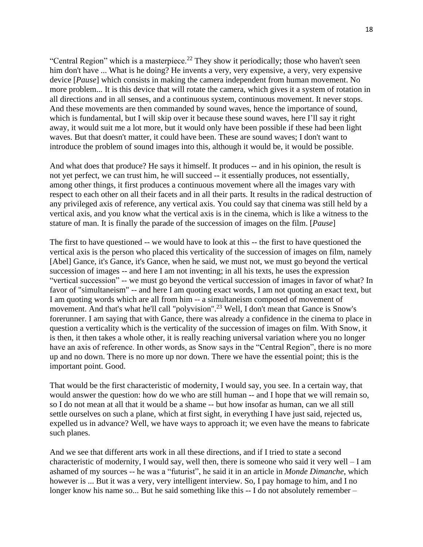"Central Region" which is a masterpiece.<sup>22</sup> They show it periodically; those who haven't seen him don't have ... What is he doing? He invents a very, very expensive, a very, very expensive device [*Pause*] which consists in making the camera independent from human movement. No more problem... It is this device that will rotate the camera, which gives it a system of rotation in all directions and in all senses, and a continuous system, continuous movement. It never stops. And these movements are then commanded by sound waves, hence the importance of sound, which is fundamental, but I will skip over it because these sound waves, here I'll say it right away, it would suit me a lot more, but it would only have been possible if these had been light waves. But that doesn't matter, it could have been. These are sound waves; I don't want to introduce the problem of sound images into this, although it would be, it would be possible.

And what does that produce? He says it himself. It produces  $-$  and in his opinion, the result is not yet perfect, we can trust him, he will succeed -- it essentially produces, not essentially, among other things, it first produces a continuous movement where all the images vary with respect to each other on all their facets and in all their parts. It results in the radical destruction of any privileged axis of reference, any vertical axis. You could say that cinema was still held by a vertical axis, and you know what the vertical axis is in the cinema, which is like a witness to the stature of man. It is finally the parade of the succession of images on the film. [*Pause*]

The first to have questioned -- we would have to look at this -- the first to have questioned the vertical axis is the person who placed this verticality of the succession of images on film, namely [Abel] Gance, it's Gance, it's Gance, when he said, we must not, we must go beyond the vertical succession of images -- and here I am not inventing; in all his texts, he uses the expression "vertical succession" -- we must go beyond the vertical succession of images in favor of what? In favor of "simultaneism" -- and here I am quoting exact words, I am not quoting an exact text, but I am quoting words which are all from him -- a simultaneism composed of movement of movement. And that's what he'll call "polyvision".<sup>23</sup> Well, I don't mean that Gance is Snow's forerunner. I am saying that with Gance, there was already a confidence in the cinema to place in question a verticality which is the verticality of the succession of images on film. With Snow, it is then, it then takes a whole other, it is really reaching universal variation where you no longer have an axis of reference. In other words, as Snow says in the "Central Region", there is no more up and no down. There is no more up nor down. There we have the essential point; this is the important point. Good.

That would be the first characteristic of modernity, I would say, you see. In a certain way, that would answer the question: how do we who are still human -- and I hope that we will remain so, so I do not mean at all that it would be a shame -- but how insofar as human, can we all still settle ourselves on such a plane, which at first sight, in everything I have just said, rejected us, expelled us in advance? Well, we have ways to approach it; we even have the means to fabricate such planes.

And we see that different arts work in all these directions, and if I tried to state a second characteristic of modernity, I would say, well then, there is someone who said it very well  $-I$  am ashamed of my sources -- he was a "futurist", he said it in an article in *Monde Dimanche*, which however is ... But it was a very, very intelligent interview. So, I pay homage to him, and I no longer know his name so... But he said something like this -- I do not absolutely remember –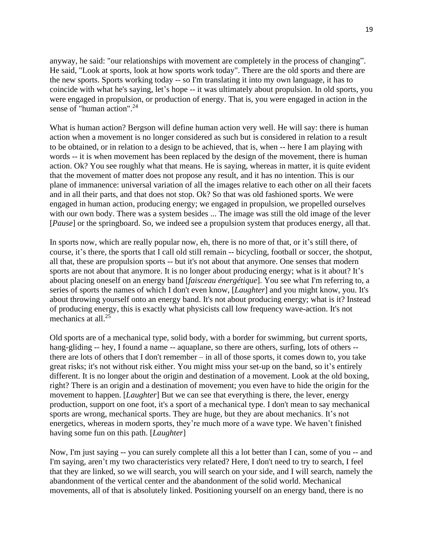anyway, he said: "our relationships with movement are completely in the process of changing". He said, "Look at sports, look at how sports work today". There are the old sports and there are the new sports. Sports working today -- so I'm translating it into my own language, it has to coincide with what he's saying, let's hope -- it was ultimately about propulsion. In old sports, you were engaged in propulsion, or production of energy. That is, you were engaged in action in the sense of "human action".<sup>24</sup>

What is human action? Bergson will define human action very well. He will say: there is human action when a movement is no longer considered as such but is considered in relation to a result to be obtained, or in relation to a design to be achieved, that is, when -- here I am playing with words -- it is when movement has been replaced by the design of the movement, there is human action. Ok? You see roughly what that means. He is saying, whereas in matter, it is quite evident that the movement of matter does not propose any result, and it has no intention. This is our plane of immanence: universal variation of all the images relative to each other on all their facets and in all their parts, and that does not stop. Ok? So that was old fashioned sports. We were engaged in human action, producing energy; we engaged in propulsion, we propelled ourselves with our own body. There was a system besides ... The image was still the old image of the lever [*Pause*] or the springboard. So, we indeed see a propulsion system that produces energy, all that.

In sports now, which are really popular now, eh, there is no more of that, or it's still there, of course, it's there, the sports that I call old still remain -- bicycling, football or soccer, the shotput, all that, these are propulsion sports -- but it's not about that anymore. One senses that modern sports are not about that anymore. It is no longer about producing energy; what is it about? It's about placing oneself on an energy band [*faisceau énergétique*]. You see what I'm referring to, a series of sports the names of which I don't even know, [*Laughter*] and you might know, you. It's about throwing yourself onto an energy band. It's not about producing energy; what is it? Instead of producing energy, this is exactly what physicists call low frequency wave-action. It's not mechanics at all.<sup>25</sup>

Old sports are of a mechanical type, solid body, with a border for swimming, but current sports, hang-gliding -- hey, I found a name -- aquaplane, so there are others, surfing, lots of others -there are lots of others that I don't remember – in all of those sports, it comes down to, you take great risks; it's not without risk either. You might miss your set-up on the band, so it's entirely different. It is no longer about the origin and destination of a movement. Look at the old boxing, right? There is an origin and a destination of movement; you even have to hide the origin for the movement to happen. [*Laughter*] But we can see that everything is there, the lever, energy production, support on one foot, it's a sport of a mechanical type. I don't mean to say mechanical sports are wrong, mechanical sports. They are huge, but they are about mechanics. It's not energetics, whereas in modern sports, they're much more of a wave type. We haven't finished having some fun on this path. [*Laughter*]

Now, I'm just saying -- you can surely complete all this a lot better than I can, some of you -- and I'm saying, aren't my two characteristics very related? Here, I don't need to try to search, I feel that they are linked, so we will search, you will search on your side, and I will search, namely the abandonment of the vertical center and the abandonment of the solid world. Mechanical movements, all of that is absolutely linked. Positioning yourself on an energy band, there is no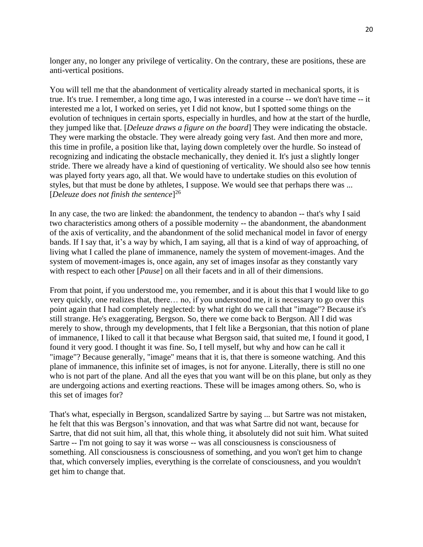longer any, no longer any privilege of verticality. On the contrary, these are positions, these are anti-vertical positions.

You will tell me that the abandonment of verticality already started in mechanical sports, it is true. It's true. I remember, a long time ago, I was interested in a course -- we don't have time -- it interested me a lot, I worked on series, yet I did not know, but I spotted some things on the evolution of techniques in certain sports, especially in hurdles, and how at the start of the hurdle, they jumped like that. [*Deleuze draws a figure on the board*] They were indicating the obstacle. They were marking the obstacle. They were already going very fast. And then more and more, this time in profile, a position like that, laying down completely over the hurdle. So instead of recognizing and indicating the obstacle mechanically, they denied it. It's just a slightly longer stride. There we already have a kind of questioning of verticality. We should also see how tennis was played forty years ago, all that. We would have to undertake studies on this evolution of styles, but that must be done by athletes, I suppose. We would see that perhaps there was ... [*Deleuze does not finish the sentence*] 26

In any case, the two are linked: the abandonment, the tendency to abandon -- that's why I said two characteristics among others of a possible modernity -- the abandonment, the abandonment of the axis of verticality, and the abandonment of the solid mechanical model in favor of energy bands. If I say that, it's a way by which, I am saying, all that is a kind of way of approaching, of living what I called the plane of immanence, namely the system of movement-images. And the system of movement-images is, once again, any set of images insofar as they constantly vary with respect to each other [*Pause*] on all their facets and in all of their dimensions.

From that point, if you understood me, you remember, and it is about this that I would like to go very quickly, one realizes that, there… no, if you understood me, it is necessary to go over this point again that I had completely neglected: by what right do we call that "image"? Because it's still strange. He's exaggerating, Bergson. So, there we come back to Bergson. All I did was merely to show, through my developments, that I felt like a Bergsonian, that this notion of plane of immanence, I liked to call it that because what Bergson said, that suited me, I found it good, I found it very good. I thought it was fine. So, I tell myself, but why and how can he call it "image"? Because generally, "image" means that it is, that there is someone watching. And this plane of immanence, this infinite set of images, is not for anyone. Literally, there is still no one who is not part of the plane. And all the eyes that you want will be on this plane, but only as they are undergoing actions and exerting reactions. These will be images among others. So, who is this set of images for?

That's what, especially in Bergson, scandalized Sartre by saying ... but Sartre was not mistaken, he felt that this was Bergson's innovation, and that was what Sartre did not want, because for Sartre, that did not suit him, all that, this whole thing, it absolutely did not suit him. What suited Sartre -- I'm not going to say it was worse -- was all consciousness is consciousness of something. All consciousness is consciousness of something, and you won't get him to change that, which conversely implies, everything is the correlate of consciousness, and you wouldn't get him to change that.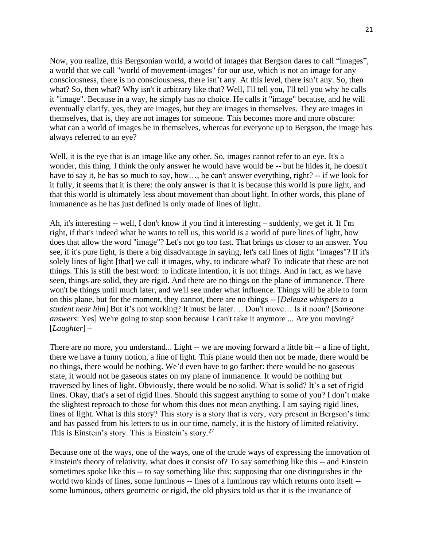Now, you realize, this Bergsonian world, a world of images that Bergson dares to call "images", a world that we call "world of movement-images" for our use, which is not an image for any consciousness, there is no consciousness, there isn't any. At this level, there isn't any. So, then what? So, then what? Why isn't it arbitrary like that? Well, I'll tell you, I'll tell you why he calls it "image". Because in a way, he simply has no choice. He calls it "image" because, and he will eventually clarify, yes, they are images, but they are images in themselves. They are images in themselves, that is, they are not images for someone. This becomes more and more obscure: what can a world of images be in themselves, whereas for everyone up to Bergson, the image has always referred to an eye?

Well, it is the eye that is an image like any other. So, images cannot refer to an eye. It's a wonder, this thing. I think the only answer he would have would be -- but he hides it, he doesn't have to say it, he has so much to say, how…, he can't answer everything, right? -- if we look for it fully, it seems that it is there: the only answer is that it is because this world is pure light, and that this world is ultimately less about movement than about light. In other words, this plane of immanence as he has just defined is only made of lines of light.

Ah, it's interesting -- well, I don't know if you find it interesting – suddenly, we get it. If I'm right, if that's indeed what he wants to tell us, this world is a world of pure lines of light, how does that allow the word "image"? Let's not go too fast. That brings us closer to an answer. You see, if it's pure light, is there a big disadvantage in saying, let's call lines of light "images"? If it's solely lines of light [that] we call it images, why, to indicate what? To indicate that these are not things. This is still the best word: to indicate intention, it is not things. And in fact, as we have seen, things are solid, they are rigid. And there are no things on the plane of immanence. There won't be things until much later, and we'll see under what influence. Things will be able to form on this plane, but for the moment, they cannot, there are no things -- [*Deleuze whispers to a student near him*] But it's not working? It must be later…. Don't move… Is it noon? [*Someone answers*: Yes] We're going to stop soon because I can't take it anymore ... Are you moving? [*Laughter*] –

There are no more, you understand... Light -- we are moving forward a little bit -- a line of light, there we have a funny notion, a line of light. This plane would then not be made, there would be no things, there would be nothing. We'd even have to go farther: there would be no gaseous state, it would not be gaseous states on my plane of immanence. It would be nothing but traversed by lines of light. Obviously, there would be no solid. What is solid? It's a set of rigid lines. Okay, that's a set of rigid lines. Should this suggest anything to some of you? I don't make the slightest reproach to those for whom this does not mean anything. I am saying rigid lines, lines of light. What is this story? This story is a story that is very, very present in Bergson's time and has passed from his letters to us in our time, namely, it is the history of limited relativity. This is Einstein's story. This is Einstein's story.<sup>27</sup>

Because one of the ways, one of the ways, one of the crude ways of expressing the innovation of Einstein's theory of relativity, what does it consist of? To say something like this -- and Einstein sometimes spoke like this -- to say something like this: supposing that one distinguishes in the world two kinds of lines, some luminous -- lines of a luminous ray which returns onto itself - some luminous, others geometric or rigid, the old physics told us that it is the invariance of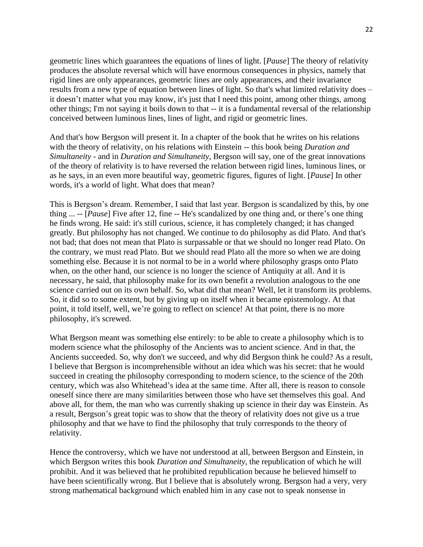geometric lines which guarantees the equations of lines of light. [*Pause*] The theory of relativity produces the absolute reversal which will have enormous consequences in physics, namely that rigid lines are only appearances, geometric lines are only appearances, and their invariance results from a new type of equation between lines of light. So that's what limited relativity does – it doesn't matter what you may know, it's just that I need this point, among other things, among other things; I'm not saying it boils down to that -- it is a fundamental reversal of the relationship conceived between luminous lines, lines of light, and rigid or geometric lines.

And that's how Bergson will present it. In a chapter of the book that he writes on his relations with the theory of relativity, on his relations with Einstein -- this book being *Duration and Simultaneity* - and in *Duration and Simultaneity*, Bergson will say, one of the great innovations of the theory of relativity is to have reversed the relation between rigid lines, luminous lines, or as he says, in an even more beautiful way, geometric figures, figures of light. [*Pause*] In other words, it's a world of light. What does that mean?

This is Bergson's dream. Remember, I said that last year. Bergson is scandalized by this, by one thing ... -- [*Pause*] Five after 12, fine -- He's scandalized by one thing and, or there's one thing he finds wrong. He said: it's still curious, science, it has completely changed; it has changed greatly. But philosophy has not changed. We continue to do philosophy as did Plato. And that's not bad; that does not mean that Plato is surpassable or that we should no longer read Plato. On the contrary, we must read Plato. But we should read Plato all the more so when we are doing something else. Because it is not normal to be in a world where philosophy grasps onto Plato when, on the other hand, our science is no longer the science of Antiquity at all. And it is necessary, he said, that philosophy make for its own benefit a revolution analogous to the one science carried out on its own behalf. So, what did that mean? Well, let it transform its problems. So, it did so to some extent, but by giving up on itself when it became epistemology. At that point, it told itself, well, we're going to reflect on science! At that point, there is no more philosophy, it's screwed.

What Bergson meant was something else entirely: to be able to create a philosophy which is to modern science what the philosophy of the Ancients was to ancient science. And in that, the Ancients succeeded. So, why don't we succeed, and why did Bergson think he could? As a result, I believe that Bergson is incomprehensible without an idea which was his secret: that he would succeed in creating the philosophy corresponding to modern science, to the science of the 20th century, which was also Whitehead's idea at the same time. After all, there is reason to console oneself since there are many similarities between those who have set themselves this goal. And above all, for them, the man who was currently shaking up science in their day was Einstein. As a result, Bergson's great topic was to show that the theory of relativity does not give us a true philosophy and that we have to find the philosophy that truly corresponds to the theory of relativity.

Hence the controversy, which we have not understood at all, between Bergson and Einstein, in which Bergson writes this book *Duration and Simultaneity*, the republication of which he will prohibit. And it was believed that he prohibited republication because he believed himself to have been scientifically wrong. But I believe that is absolutely wrong. Bergson had a very, very strong mathematical background which enabled him in any case not to speak nonsense in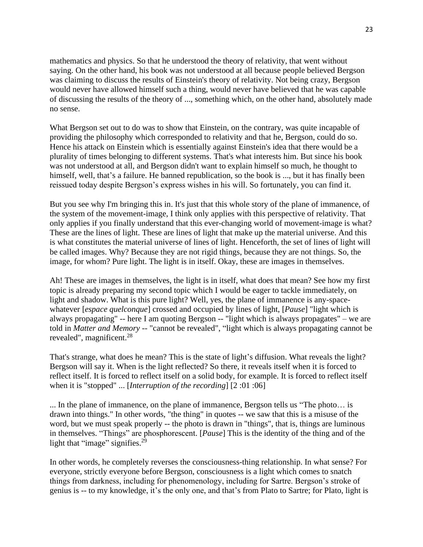mathematics and physics. So that he understood the theory of relativity, that went without saying. On the other hand, his book was not understood at all because people believed Bergson was claiming to discuss the results of Einstein's theory of relativity. Not being crazy, Bergson would never have allowed himself such a thing, would never have believed that he was capable of discussing the results of the theory of ..., something which, on the other hand, absolutely made no sense.

What Bergson set out to do was to show that Einstein, on the contrary, was quite incapable of providing the philosophy which corresponded to relativity and that he, Bergson, could do so. Hence his attack on Einstein which is essentially against Einstein's idea that there would be a plurality of times belonging to different systems. That's what interests him. But since his book was not understood at all, and Bergson didn't want to explain himself so much, he thought to himself, well, that's a failure. He banned republication, so the book is ..., but it has finally been reissued today despite Bergson's express wishes in his will. So fortunately, you can find it.

But you see why I'm bringing this in. It's just that this whole story of the plane of immanence, of the system of the movement-image, I think only applies with this perspective of relativity. That only applies if you finally understand that this ever-changing world of movement-image is what? These are the lines of light. These are lines of light that make up the material universe. And this is what constitutes the material universe of lines of light. Henceforth, the set of lines of light will be called images. Why? Because they are not rigid things, because they are not things. So, the image, for whom? Pure light. The light is in itself. Okay, these are images in themselves.

Ah! These are images in themselves, the light is in itself, what does that mean? See how my first topic is already preparing my second topic which I would be eager to tackle immediately, on light and shadow. What is this pure light? Well, yes, the plane of immanence is any-spacewhatever [*espace quelconque*] crossed and occupied by lines of light, [*Pause*] "light which is always propagating" -- here I am quoting Bergson -- "light which is always propagates" – we are told in *Matter and Memory* -- "cannot be revealed", "light which is always propagating cannot be revealed", magnificent.<sup>28</sup>

That's strange, what does he mean? This is the state of light's diffusion. What reveals the light? Bergson will say it. When is the light reflected? So there, it reveals itself when it is forced to reflect itself. It is forced to reflect itself on a solid body, for example. It is forced to reflect itself when it is "stopped" ... [*Interruption of the recording*] [2 :01 :06]

... In the plane of immanence, on the plane of immanence, Bergson tells us "The photo… is drawn into things." In other words, "the thing" in quotes -- we saw that this is a misuse of the word, but we must speak properly -- the photo is drawn in "things", that is, things are luminous in themselves. "Things" are phosphorescent. [*Pause*] This is the identity of the thing and of the light that "image" signifies.<sup>29</sup>

In other words, he completely reverses the consciousness-thing relationship. In what sense? For everyone, strictly everyone before Bergson, consciousness is a light which comes to snatch things from darkness, including for phenomenology, including for Sartre. Bergson's stroke of genius is -- to my knowledge, it's the only one, and that's from Plato to Sartre; for Plato, light is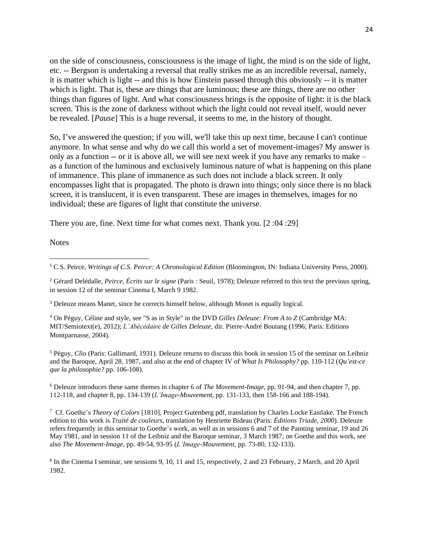on the side of consciousness, consciousness is the image of light, the mind is on the side of light, etc. -- Bergson is undertaking a reversal that really strikes me as an incredible reversal, namely, it is matter which is light -- and this is how Einstein passed through this obviously -- it is matter which is light. That is, these are things that are luminous; these are things, there are no other things than figures of light. And what consciousness brings is the opposite of light: it is the black screen. This is the zone of darkness without which the light could not reveal itself, would never be revealed. [*Pause*] This is a huge reversal, it seems to me, in the history of thought.

So, I've answered the question; if you will, we'll take this up next time, because I can't continue anymore. In what sense and why do we call this world a set of movement-images? My answer is only as a function -- or it is above all, we will see next week if you have any remarks to make – as a function of the luminous and exclusively luminous nature of what is happening on this plane of immanence. This plane of immanence as such does not include a black screen. It only encompasses light that is propagated. The photo is drawn into things; only since there is no black screen, it is translucent, it is even transparent. These are images in themselves, images for no individual; these are figures of light that constitute the universe.

There you are, fine. Next time for what comes next. Thank you. [2 :04 :29]

**Notes** 

<sup>2</sup> Gérard Delédalle, *Peirce, Écrits sur le signe* (Paris : Seuil, 1978); Deleuze referred to this text the previous spring, in session 12 of the seminar Cinema I, March 9 1982.

<sup>3</sup> Deleuze means Manet, since he corrects himself below, although Monet is equally logical.

<sup>4</sup> On Péguy, Céline and style, see "S as in Style" in the DVD *Gilles Deleuze: From A to Z* (Cambridge MA: MIT/Semiotext(e), 2012); *L'Abécédaire de Gilles Deleuze,* dir. Pierre-André Boutang (1996; Paris: Editions Montparnasse, 2004).

<sup>5</sup> Péguy, *Clio* (Paris: Gallimard, 1931). Deleuze returns to discuss this book in session 15 of the seminar on Leibniz and the Baroque, April 28, 1987, and also at the end of chapter IV of *What Is Philosophy?* pp. 110-112 (*Qu'est-ce que la philosophie?* pp. 106-108).

<sup>6</sup> Deleuze introduces these same themes in chapter 6 of *The Movement-Image*, pp. 91-94, and then chapter 7, pp. 112-118, and chapter 8, pp. 134-139 (*L'Image-Mouvement*, pp. 131-133, then 158-166 and 188-194).

<sup>7</sup> Cf. Goethe's *Theory of Colors* [1810], Project Gutenberg pdf, translation by Charles Locke Eastlake. The French edition to this work is *Traité de couleurs,* translation by Henriette Bideau (Paris: *Éditions Triade, 2000*)*.* Deleuze refers frequently in this seminar to Goethe's work, as well as in sessions 6 and 7 of the Painting seminar, 19 and 26 May 1981, and in session 11 of the Leibniz and the Baroque seminar, 3 March 1987; on Goethe and this work, see also *The Movement-Image,* pp. 49-54, 93-95 (*L'Image-Mouvement*, pp. 73-80, 132-133).

8 In the Cinema I seminar, see sessions 9, 10, 11 and 15, respectively, 2 and 23 February, 2 March, and 20 April 1982.

<sup>1</sup> C.S. Peirce, *Writings of C.S. Peirce: A Chronological Edition* (Bloomington, IN: Indiana University Press, 2000).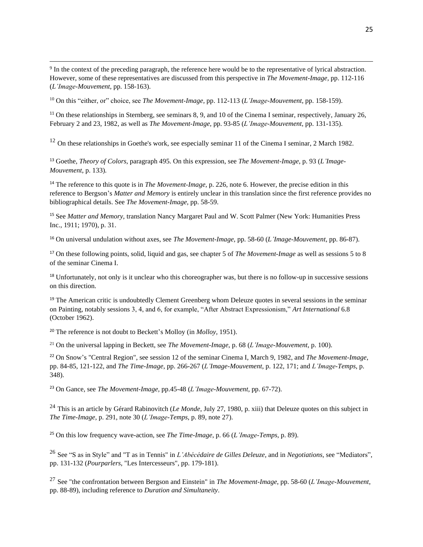<sup>9</sup> In the context of the preceding paragraph, the reference here would be to the representative of lyrical abstraction. However, some of these representatives are discussed from this perspective in *The Movement-Image,* pp. 112-116 (*L'Image-Mouvement*, pp. 158-163).

<sup>10</sup> On this "either, or" choice, see *The Movement-Image,* pp. 112-113 (*L'Image-Mouvement*, pp. 158-159).

<sup>11</sup> On these relationships in Sternberg, see seminars 8, 9, and 10 of the Cinema I seminar, respectively, January 26, February 2 and 23, 1982, as well as *The Movement-Image,* pp. 93-85 (*L'Image-Mouvement*, pp. 131-135).

<sup>12</sup> On these relationships in Goethe's work, see especially seminar 11 of the Cinema I seminar, 2 March 1982.

<sup>13</sup> Goethe, *Theory of Colors*, paragraph 495. On this expression, see *The Movement-Image*, p. 93 (*L'Image-Mouvement*, p. 133).

<sup>14</sup> The reference to this quote is in *The Movement-Image,* p. 226, note 6. However, the precise edition in this reference to Bergson's *Matter and Memory* is entirely unclear in this translation since the first reference provides no bibliographical details. See *The Movement-Image,* pp. 58-59.

<sup>15</sup> See *Matter and Memory,* translation Nancy Margaret Paul and W. Scott Palmer (New York: Humanities Press Inc., 1911; 1970), p. 31.

<sup>16</sup> On universal undulation without axes, see *The Movement-Image,* pp. 58-60 (*L'Image-Mouvement*, pp. 86-87).

<sup>17</sup> On these following points, solid, liquid and gas, see chapter 5 of *The Movement-Image* as well as sessions 5 to 8 of the seminar Cinema I.

<sup>18</sup> Unfortunately, not only is it unclear who this choreographer was, but there is no follow-up in successive sessions on this direction.

<sup>19</sup> The American critic is undoubtedly Clement Greenberg whom Deleuze quotes in several sessions in the seminar on Painting, notably sessions 3, 4, and 6, for example, "After Abstract Expressionism," *Art International* 6.8 (October 1962).

<sup>20</sup> The reference is not doubt to Beckett's Molloy (in *Molloy,* 1951).

<sup>21</sup> On the universal lapping in Beckett, see *The Movement-Image*, p. 68 (*L'Image-Mouvement*, p. 100).

<sup>22</sup> On Snow's "Central Region", see session 12 of the seminar Cinema I, March 9, 1982, and *The Movement-Image*, pp. 84-85, 121-122, and *The Time-Image*, pp. 266-267 (*L'Image-Mouvement*, p. 122, 171; and *L'Image-Temps*, p. 348).

<sup>23</sup> On Gance, see *The Movement-Image,* pp.45-48 (*L'Image-Mouvement*, pp. 67-72).

<sup>24</sup> This is an article by Gérard Rabinovitch (*Le Monde*, July 27, 1980, p. xiii) that Deleuze quotes on this subject in *The Time-Image,* p. 291, note 30 (*L'Image-Temps*, p. 89, note 27).

<sup>25</sup> On this low frequency wave-action, see *The Time-Image*, p. 66 (*L'Image-Temps,* p. 89).

<sup>26</sup> See "S as in Style" and "T as in Tennis" in *L'Abécédaire de Gilles Deleuze,* and in *Negotiations,* see "Mediators", pp. 131-132 (*Pourparlers*, "Les Intercesseurs", pp. 179-181).

<sup>27</sup> See "the confrontation between Bergson and Einstein" in *The Movement-Image*, pp. 58-60 (*L'Image-Mouvement*, pp. 88-89), including reference to *Duration and Simultaneity*.